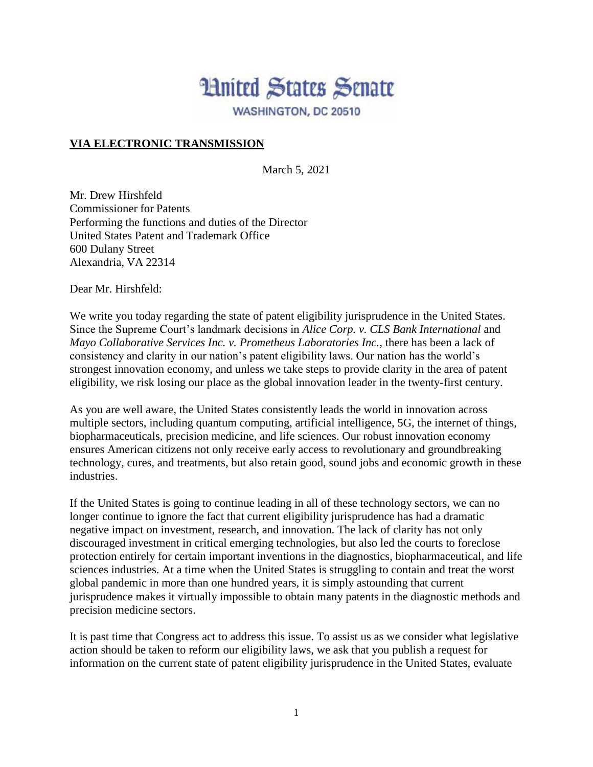## **Hnited States Senate** WASHINGTON, DC 20510

**VIA ELECTRONIC TRANSMISSION**

March 5, 2021

Mr. Drew Hirshfeld Commissioner for Patents Performing the functions and duties of the Director United States Patent and Trademark Office 600 Dulany Street Alexandria, VA 22314

Dear Mr. Hirshfeld:

We write you today regarding the state of patent eligibility jurisprudence in the United States. Since the Supreme Court's landmark decisions in *Alice Corp. v. CLS Bank International* and *Mayo Collaborative Services Inc. v. Prometheus Laboratories Inc.*, there has been a lack of consistency and clarity in our nation's patent eligibility laws. Our nation has the world's strongest innovation economy, and unless we take steps to provide clarity in the area of patent eligibility, we risk losing our place as the global innovation leader in the twenty-first century.

As you are well aware, the United States consistently leads the world in innovation across multiple sectors, including quantum computing, artificial intelligence, 5G, the internet of things, biopharmaceuticals, precision medicine, and life sciences. Our robust innovation economy ensures American citizens not only receive early access to revolutionary and groundbreaking technology, cures, and treatments, but also retain good, sound jobs and economic growth in these industries.

If the United States is going to continue leading in all of these technology sectors, we can no longer continue to ignore the fact that current eligibility jurisprudence has had a dramatic negative impact on investment, research, and innovation. The lack of clarity has not only discouraged investment in critical emerging technologies, but also led the courts to foreclose protection entirely for certain important inventions in the diagnostics, biopharmaceutical, and life sciences industries. At a time when the United States is struggling to contain and treat the worst global pandemic in more than one hundred years, it is simply astounding that current jurisprudence makes it virtually impossible to obtain many patents in the diagnostic methods and precision medicine sectors.

It is past time that Congress act to address this issue. To assist us as we consider what legislative action should be taken to reform our eligibility laws, we ask that you publish a request for information on the current state of patent eligibility jurisprudence in the United States, evaluate